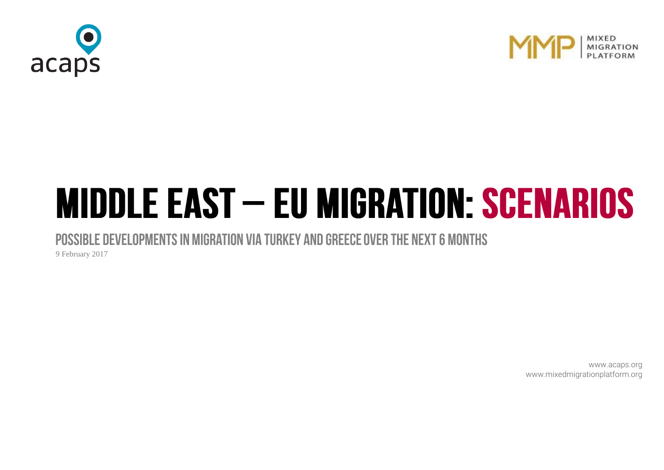



# **MIDDLE EAST - EU MIGRATION: SCENARIOS**

POSSIBLE DEVELOPMENTS IN MIGRATION VIA TURKEY AND GREECE OVER THE NEXT 6 MONTHS

9 February 2017

[www.acaps.org](http://www.acaps.org/) [www.mixedmigrationplatform.org](http://www.mixedmigrationplatform.org/)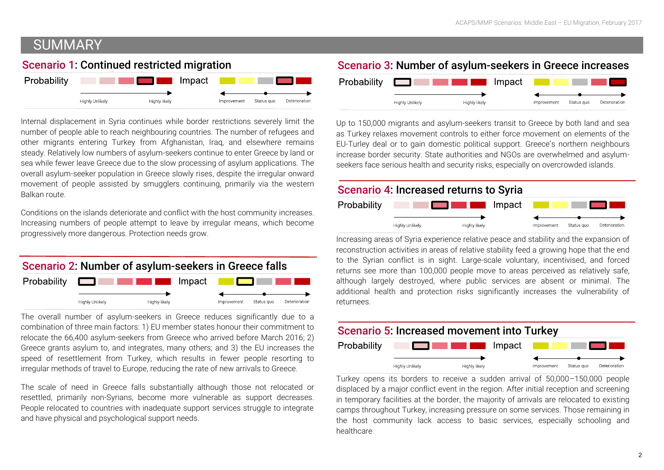# **SUMMARY**

## Scenario 1: Continued restricted migration



Internal displacement in Syria continues while border restrictions severely limit the number of people able to reach neighbouring countries. The number of refugees and other migrants entering Turkey from Afghanistan, Iraq, and elsewhere remains steady. Relatively low numbers of asylum-seekers continue to enter Greece by land or sea while fewer leave Greece due to the slow processing of asylum applications. The overall asylum-seeker population in Greece slowly rises, despite the irregular onward movement of people assisted by smugglers continuing, primarily via the western Balkan route.

Conditions on the islands deteriorate and conflict with the host community increases. Increasing numbers of people attempt to leave by irregular means, which become progressively more dangerous. Protection needs grow.



The overall number of asylum-seekers in Greece reduces significantly due to a combination of three main factors: 1) EU member states honour their commitment to relocate the 66,400 asylum-seekers from Greece who arrived before March 2016; 2) Greece grants asylum to, and integrates, many others; and 3) the EU increases the speed of resettlement from Turkey, which results in fewer people resorting to irregular methods of travel to Europe, reducing the rate of new arrivals to Greece.

The scale of need in Greece falls substantially although those not relocated or resettled, primarily non-Syrians, become more vulnerable as support decreases. People relocated to countries with inadequate support services struggle to integrate and have physical and psychological support needs.

## Scenario 3: Number of asylum-seekers in Greece increases



Up to 150,000 migrants and asylum-seekers transit to Greece by both land and sea as Turkey relaxes movement controls to either force movement on elements of the EU-Turley deal or to gain domestic political support. Greece's northern neighbours increase border security. State authorities and NGOs are overwhelmed and asylumseekers face serious health and security risks, especially on overcrowded islands.

## Scenario 4: Increased returns to Syria



 $\overline{a}$ Increasing areas of Syria experience relative peace and stability and the expansion of reconstruction activities in areas of relative stability feed a growing hope that the end to the Syrian conflict is in sight. Large-scale voluntary, incentivised, and forced returns see more than 100,000 people move to areas perceived as relatively safe, although largely destroyed, where public services are absent or minimal. The additional health and protection risks significantly increases the vulnerability of returnees.



Turkey opens its borders to receive a sudden arrival of 50,000–150,000 people displaced by a major conflict event in the region. After initial reception and screening in temporary facilities at the border, the majority of arrivals are relocated to existing camps throughout Turkey, increasing pressure on some services. Those remaining in the host community lack access to basic services, especially schooling and healthcare.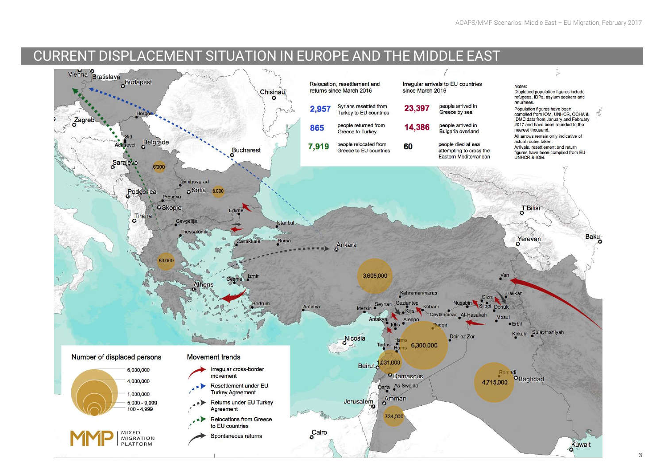## CURRENT DISPLACEMENT SITUATION IN EUROPE AND THE MIDDLE EAST

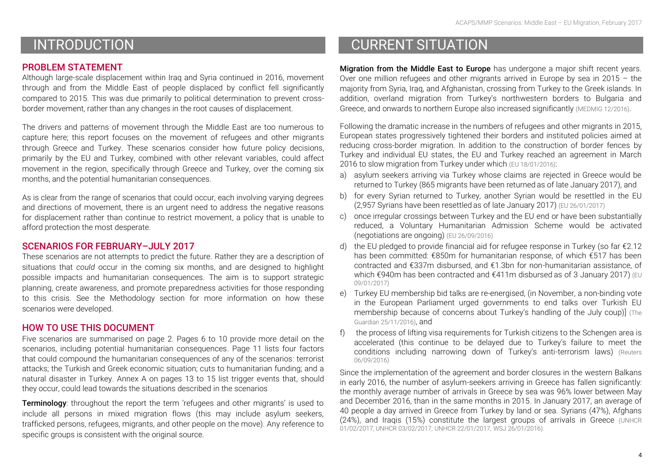# INTRODUCTION

## PROBLEM STATEMENT

Although large-scale displacement within Iraq and Syria continued in 2016, movement through and from the Middle East of people displaced by conflict fell significantly compared to 2015. This was due primarily to political determination to prevent crossborder movement, rather than any changes in the root causes of displacement.

The drivers and patterns of movement through the Middle East are too numerous to capture here; this report focuses on the movement of refugees and other migrants through Greece and Turkey. These scenarios consider how future policy decisions, primarily by the EU and Turkey, combined with other relevant variables, could affect movement in the region, specifically through Greece and Turkey, over the coming six months, and the potential humanitarian consequences.

As is clear from the range of scenarios that could occur, each involving varying degrees and directions of movement, there is an urgent need to address the negative reasons for displacement rather than continue to restrict movement, a policy that is unable to afford protection the most desperate.

## SCENARIOS FOR FEBRUARY–JULY 2017

These scenarios are not attempts to predict the future. Rather they are a description of situations that *could* occur in the coming six months, and are designed to highlight possible impacts and humanitarian consequences. The aim is to support strategic planning, create awareness, and promote preparedness activities for those responding to this crisis. See the Methodology section for more information on how these scenarios were developed.

## HOW TO USE THIS DOCUMENT

Five scenarios are summarised on page 2. Pages 6 to 10 provide more detail on the scenarios, including potential humanitarian consequences. Page 11 lists four factors that could compound the humanitarian consequences of any of the scenarios: terrorist attacks; the Turkish and Greek economic situation; cuts to humanitarian funding; and a natural disaster in Turkey. Annex A on pages 13 to 15 list trigger events that, should they occur, could lead towards the situations described in the scenarios

**Terminology:** throughout the report the term 'refugees and other migrants' is used to include all persons in mixed migration flows (this may include asylum seekers, trafficked persons, refugees, migrants, and other people on the move). Any reference to specific groups is consistent with the original source.

# CURRENT SITUATION

Migration from the Middle East to Europe has undergone a major shift recent years. Over one million refugees and other migrants arrived in Europe by sea in 2015 – the majority from Syria, Iraq, and Afghanistan, crossing from Turkey to the Greek islands. In addition, overland migration from Turkey's northwestern borders to Bulgaria and Greece, and onwards to northern Europe also increased significantly [\(MEDMIG 12/2016\)](http://www.medmig.info/wp-content/uploads/2016/12/research-brief-destination-europe.pdf).

Following the dramatic increase in the numbers of refugees and other migrants in 2015, European states progressively tightened their borders and instituted policies aimed at reducing cross-border migration. In addition to the construction of border fences by Turkey and individual EU states, the EU and Turkey reached an agreement in March 2016 to slow migration from Turkey under which [\(EU 18/01/2016\)](http://www.consilium.europa.eu/en/press/press-releases/2016/03/18-eu-turkey-statement/):

- a) asylum seekers arriving via Turkey whose claims are rejected in Greece would be returned to Turkey (865 migrants have been returned as of late January 2017), and
- b) for every Syrian returned to Turkey, another Syrian would be resettled in the EU (2,957 Syrians have been resettled as of late January 2017) [\(EU 26/01/2017\)](https://ec.europa.eu/home-affairs/sites/homeaffairs/files/what-we-do/policies/european-agenda-migration/press-material/docs/state_of_play_-_eu-turkey_en.pdf)
- c) once irregular crossings between Turkey and the EU end or have been substantially reduced, a Voluntary Humanitarian Admission Scheme would be activated (negotiations are ongoing) [\(EU 26/09/2016\)](http://europa.eu/rapid/press-release_MEMO-16-3204_en.htm)
- d) the EU pledged to provide financial aid for refugee response in Turkey (so far €2.12 has been committed: €850m for humanitarian response, of which €517 has been contracted and €337m disbursed, and €1.3bn for non-humanitarian assistance, of which €940m has been contracted and €411m disbursed as of 3 January 2017) (EU [09/01/2017\)](https://ec.europa.eu/neighbourhood-enlargement/sites/near/files/20170109-facility_table.pdf)
- e) Turkey EU membership bid talks are re-energised, (in November, a non-binding vote in the European Parliament urged governments to end talks over Turkish EU membership because of concerns about Turkey's handling of the July coup)] [\(The](https://www.theguardian.com/world/2016/nov/25/turkey-threatens-end-refugee-deal-row-eu-accession-erdogan)  [Guardian 25/11/2016\)](https://www.theguardian.com/world/2016/nov/25/turkey-threatens-end-refugee-deal-row-eu-accession-erdogan), and
- f) the process of lifting visa requirements for Turkish citizens to the Schengen area is accelerated (this continue to be delayed due to Turkey's failure to meet the conditions including narrowing down of Turkey's anti-terrorism laws) [\(Reuters](http://www.reuters.com/article/us-europe-migrants-turkey-idUSKCN11C1HL)  [06/09/2016\)](http://www.reuters.com/article/us-europe-migrants-turkey-idUSKCN11C1HL)

Since the implementation of the agreement and border closures in the western Balkans in early 2016, the number of asylum-seekers arriving in Greece has fallen significantly: the monthly average number of arrivals in Greece by sea was 96% lower between May and December 2016, than in the same months in 2015. In January 2017, an average of 40 people a day arrived in Greece from Turkey by land or sea. Syrians (47%), Afghans (24%), and Iraqis (15%) constitute the largest groups of arrivals in Greece [\(UNHCR](http://data.unhcr.org/mediterranean/country.php?id=83)  [01/02/2017,](http://data.unhcr.org/mediterranean/country.php?id=83) [UNHCR 03/02/2017,](http://data.unhcr.org/mediterranean/country.php?id=83) [UNHCR 22/01/2017,](http://data.unhcr.org/mediterranean/download.php?id=2376) [WSJ 26/01/2016\).](https://www.wsj.com/articles/u-n-confirms-some-migrants-unaccounted-for-in-greece-1485460403)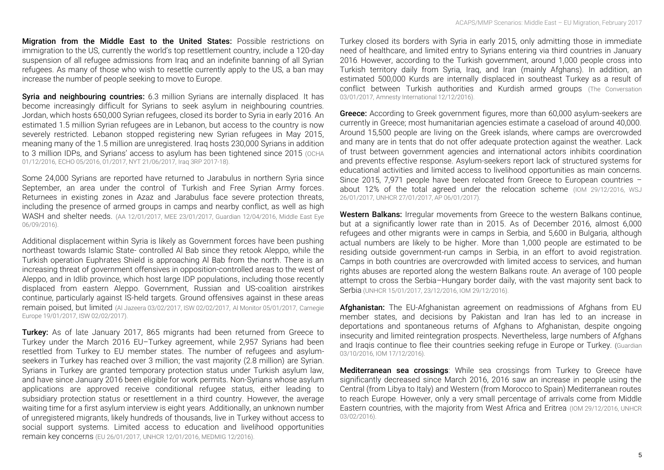Migration from the Middle East to the United States: Possible restrictions on immigration to the US, currently the world's top resettlement country, include a 120-day suspension of all refugee admissions from Iraq and an indefinite banning of all Syrian refugees. As many of those who wish to resettle currently apply to the US, a ban may increase the number of people seeking to move to Europe.

Syria and neighbouring countries: 6.3 million Syrians are internally displaced. It has become increasingly difficult for Syrians to seek asylum in neighbouring countries. Jordan, which hosts 650,000 Syrian refugees, closed its border to Syria in early 2016. An estimated 1.5 million Syrian refugees are in Lebanon, but access to the country is now severely restricted. Lebanon stopped registering new Syrian refugees in May 2015, meaning many of the 1.5 million are unregistered. Iraq hosts 230,000 Syrians in addition to 3 million IDPs, and Syrians' access to asylum has been tightened since 2015 (OCHA 01/12/2016, [ECHO 05/2016,](https://ec.europa.eu/echo/files/aid/countries/factsheets/lebanon_syrian_crisis_en.pdf) [01/2017,](http://ec.europa.eu/echo/files/aid/countries/factsheets/jordan_syrian_crisis_en.pdf) NYT 21/06/2017, [Iraq 3RP 2017-18\).](http://data.unhcr.org/syrianrefugees/download.php?id=12742)

Some 24,000 Syrians are reported have returned to Jarabulus in northern Syria since September, an area under the control of Turkish and Free Syrian Army forces. Returnees in existing zones in Azaz and Jarabulus face severe protection threats, including the presence of armed groups in camps and nearby conflict, as well as high WASH and shelter needs. [\(AA 12/01/2017,](http://aa.com.tr/en/middle-east/some-24-000-syrians-back-home-in-jarabulus-from-turkey/725921) [MEE 23/01/2017,](http://aa.com.tr/en/middle-east/some-24-000-syrians-back-home-in-jarabulus-from-turkey/725921) [Guardian 12/04/2016,](https://www.theguardian.com/world/2016/apr/12/human-rights-groups-sound-alarm-over-safe-zones-for-syrian-refugees) [Middle East Eye](http://www.middleeasteye.net/news/turkey-syria-karkamis-jarabulus-new-frontline-1894295638)  [06/09/2016\).](http://www.middleeasteye.net/news/turkey-syria-karkamis-jarabulus-new-frontline-1894295638)

Additional displacement within Syria is likely as Government forces have been pushing northeast towards Islamic State- controlled Al Bab since they retook Aleppo, while the Turkish operation Euphrates Shield is approaching Al Bab from the north. There is an increasing threat of government offensives in opposition-controlled areas to the west of Aleppo, and in Idlib province, which host large IDP populations, including those recently displaced from eastern Aleppo. Government, Russian and US-coalition airstrikes continue, particularly against IS-held targets. Ground offensives against in these areas remain poised, but limited [\(Al Jazeera 03/02/2017,](http://www.aljazeera.com/indepth/opinion/2017/02/operation-euphrates-shield-progress-scope-170201133525121.html) ISW [02/02/2017,](http://www.aljazeera.com/indepth/opinion/2017/02/operation-euphrates-shield-progress-scope-170201133525121.html) [Al Monitor 05/01/2017,](http://www.al-monitor.com/pulse/originals/2017/01/syria-aleppo-displaced-idlib-lack-opportunities.html) [Carnegie](http://carnegieeurope.eu/2017/01/19/operation-euphrates-shield-aims-and-gains-pub-67754)  [Europe 19/01/2017,](http://carnegieeurope.eu/2017/01/19/operation-euphrates-shield-aims-and-gains-pub-67754) [ISW 02/02/2017\).](https://2.bp.blogspot.com/-_wDYkgkx-yg/WJOdCqnhrrI/AAAAAAAAIOg/VQLLzbHkcFIUUAVSK0fee-brzCA9yrh7gCLcB/s1600/Feb%2B2EDITS%2BCOT-01.png)

**Turkey:** As of late January 2017, 865 migrants had been returned from Greece to Turkey under the March 2016 EU–Turkey agreement, while 2,957 Syrians had been resettled from Turkey to EU member states. The number of refugees and asylumseekers in Turkey has reached over 3 million; the vast majority (2.8 million) are Syrian. Syrians in Turkey are granted temporary protection status under Turkish asylum law, and have since January 2016 been eligible for work permits. Non-Syrians whose asylum applications are approved receive conditional refugee status, either leading to subsidiary protection status or resettlement in a third country. However, the average waiting time for a first asylum interview is eight years. Additionally, an unknown number of unregistered migrants, likely hundreds of thousands, live in Turkey without access to social support systems. Limited access to education and livelihood opportunities remain key concerns [\(EU 26/01/2017,](https://ec.europa.eu/home-affairs/sites/homeaffairs/files/what-we-do/policies/european-agenda-migration/press-material/docs/state_of_play_-_eu-turkey_en.pdf) [UNHCR 12/01/2016, MEDMIG 12/2016\)](http://data.unhcr.org/syrianrefugees/country.php?id=224).

Turkey closed its borders with Syria in early 2015, only admitting those in immediate need of healthcare, and limited entry to Syrians entering via third countries in January 2016. However, according to the Turkish government, around 1,000 people cross into Turkish territory daily from Syria, Iraq, and Iran (mainly Afghans). In addition, an estimated 500,000 Kurds are internally displaced in southeast Turkey as a result of conflict between Turkish authorities and Kurdish armed groups [\(The Conversation](https://theconversation.com/syrian-refugees-in-turkey-jordan-and-lebanon-face-an-uncertain-2017-70747)  [03/01/2017,](https://theconversation.com/syrian-refugees-in-turkey-jordan-and-lebanon-face-an-uncertain-2017-70747) [Amnesty International 12/12/2016\).](https://www.amnesty.org/en/documents/eur44/5213/2016/en/)

**Greece:** According to Greek government figures, more than 60,000 asylum-seekers are currently in Greece; most humanitarian agencies estimate a caseload of around 40,000. Around 15,500 people are living on the Greek islands, where camps are overcrowded and many are in tents that do not offer adequate protection against the weather. Lack of trust between government agencies and international actors inhibits coordination and prevents effective response. Asylum-seekers report lack of structured systems for educational activities and limited access to livelihood opportunities as main concerns. Since 2015, 7,971 people have been relocated from Greece to European countries – about 12% of the total agreed under the relocation scheme [\(IOM 29/12/2016,](http://reliefweb.int/sites/reliefweb.int/files/resources/2016_Flows_to_Europe_Overview.pdf) WSJ [26/01/2017,](https://www.wsj.com/articles/u-n-confirms-some-migrants-unaccounted-for-in-greece-1485460403) [UNHCR 27/01/2017,](http://data.unhcr.org/mediterranean/download.php?id=2385) [AP 06/01/2017\).](http://bigstory.ap.org/article/2070263809f348f8aff721ee0b79e298)

Western Balkans: Irregular movements from Greece to the western Balkans continue, but at a significantly lower rate than in 2015. As of December 2016, almost 6,000 refugees and other migrants were in camps in Serbia, and 5,600 in Bulgaria, although actual numbers are likely to be higher. More than 1,000 people are estimated to be residing outside government-run camps in Serbia, in an effort to avoid registration. Camps in both countries are overcrowded with limited access to services, and human rights abuses are reported along the western Balkans route. An average of 100 people attempt to cross the Serbia–Hungary border daily, with the vast majority sent back to Serbia [\(UNHCR 15/01/2017,](http://reliefweb.int/sites/reliefweb.int/files/resources/UNHCRSerbiaUpdate12-15January2017%5B1%5D.pdf) [23/12/2016,](http://reliefweb.int/sites/reliefweb.int/files/resources/RRMRP%20Europe%20-%202017.pdf) [IOM 29/12/2016\)](http://reliefweb.int/sites/reliefweb.int/files/resources/2016_Flows_to_Europe_Overview.pdf).

Afghanistan: The EU-Afghanistan agreement on readmissions of Afghans from EU member states, and decisions by Pakistan and Iran has led to an increase in deportations and spontaneous returns of Afghans to Afghanistan, despite ongoing insecurity and limited reintegration prospects. Nevertheless, large numbers of Afghans and Iraqis continue to flee their countries seeking refuge in Europe or Turkey. (Guardian [03/10/2016,](https://www.theguardian.com/global-development/2016/oct/03/eu-european-union-signs-deal-deport-unlimited-numbers-afghan-asylum-seekers-afghanistan) [IOM 17/12/2016\)](http://reliefweb.int/sites/reliefweb.int/files/resources/IOM%20Return%20of%20Undocumented%20Afghans%20Weekly%20Situation%20Report%2C%2011-17%20December%202016%20%28Draft%29.pdf).

Mediterranean sea crossings: While sea crossings from Turkey to Greece have significantly decreased since March 2016, 2016 saw an increase in people using the Central (from Libya to Italy) and Western (from Morocco to Spain) Mediterranean routes to reach Europe. However, only a very small percentage of arrivals come from Middle Eastern countries, with the majority from West Africa and Eritrea [\(IOM 29/12/2016,](http://reliefweb.int/sites/reliefweb.int/files/resources/2016_Flows_to_Europe_Overview.pdf) UNHCR 03/02/2016).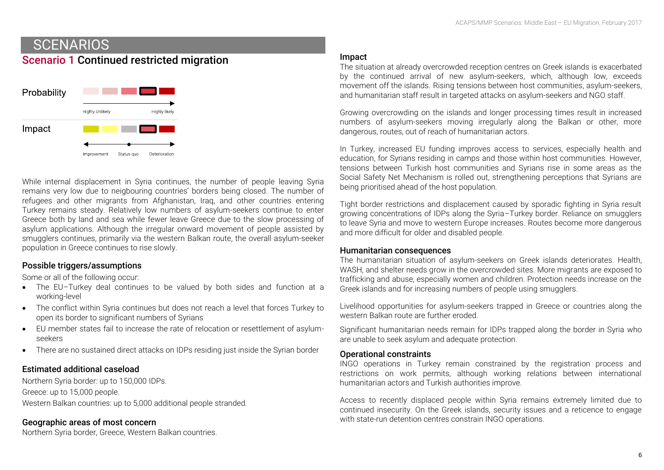## **SCENARIOS** Scenario 1 Continued restricted migration



While internal displacement in Syria continues, the number of people leaving Syria remains very low due to neigbouring countries' borders being closed. The number of refugees and other migrants from Afghanistan, Iraq, and other countries entering Turkey remains steady. Relatively low numbers of asylum-seekers continue to enter Greece both by land and sea while fewer leave Greece due to the slow processing of asylum applications. Although the irregular onward movement of people assisted by smugglers continues, primarily via the western Balkan route, the overall asylum-seeker population in Greece continues to rise slowly.

## Possible triggers/assumptions

Some or all of the following occur:

- The EU–Turkey deal continues to be valued by both sides and function at a working-level
- The conflict within Syria continues but does not reach a level that forces Turkey to open its border to significant numbers of Syrians
- EU member states fail to increase the rate of relocation or resettlement of asylumseekers
- There are no sustained direct attacks on IDPs residing just inside the Syrian border

## Estimated additional caseload

Northern Syria border: up to 150,000 IDPs. Greece: up to 15,000 people. Western Balkan countries: up to 5,000 additional people stranded.

## Geographic areas of most concern

Northern Syria border, Greece, Western Balkan countries.

#### Impact

The situation at already overcrowded reception centres on Greek islands is exacerbated by the continued arrival of new asylum-seekers, which, although low, exceeds movement off the islands. Rising tensions between host communities, asylum-seekers, and humanitarian staff result in targeted attacks on asylum-seekers and NGO staff.

Growing overcrowding on the islands and longer processing times result in increased numbers of asylum-seekers moving irregularly along the Balkan or other, more dangerous, routes, out of reach of humanitarian actors.

In Turkey, increased EU funding improves access to services, especially health and education, for Syrians residing in camps and those within host communities. However, tensions between Turkish host communities and Syrians rise in some areas as the Social Safety Net Mechanism is rolled out, strengthening perceptions that Syrians are being prioritised ahead of the host population.

Tight border restrictions and displacement caused by sporadic fighting in Syria result growing concentrations of IDPs along the Syria–Turkey border. Reliance on smugglers to leave Syria and move to western Europe increases. Routes become more dangerous and more difficult for older and disabled people.

#### Humanitarian consequences

The humanitarian situation of asylum-seekers on Greek islands deteriorates. Health, WASH, and shelter needs grow in the overcrowded sites. More migrants are exposed to trafficking and abuse, especially women and children. Protection needs increase on the Greek islands and for increasing numbers of people using smugglers.

Livelihood opportunities for asylum-seekers trapped in Greece or countries along the western Balkan route are further eroded.

Significant humanitarian needs remain for IDPs trapped along the border in Syria who are unable to seek asylum and adequate protection.

#### Operational constraints

INGO operations in Turkey remain constrained by the registration process and restrictions on work permits, although working relations between international humanitarian actors and Turkish authorities improve.

Access to recently displaced people within Syria remains extremely limited due to continued insecurity. On the Greek islands, security issues and a reticence to engage with state-run detention centres constrain INGO operations.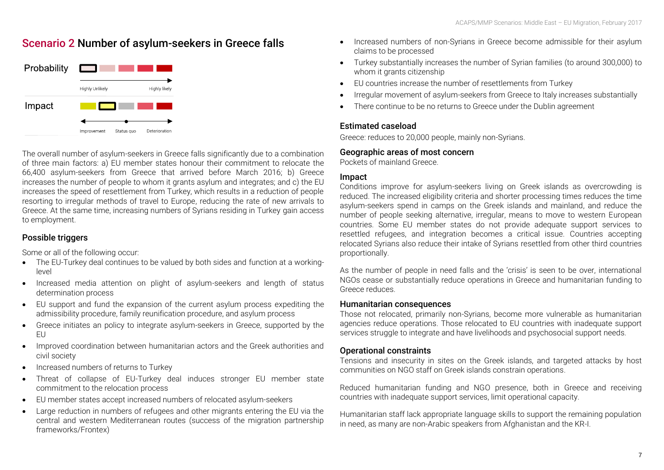## Scenario 2 Number of asylum-seekers in Greece falls



The overall number of asylum-seekers in Greece falls significantly due to a combination of three main factors: a) EU member states honour their commitment to relocate the 66,400 asylum-seekers from Greece that arrived before March 2016; b) Greece increases the number of people to whom it grants asylum and integrates; and c) the EU increases the speed of resettlement from Turkey, which results in a reduction of people resorting to irregular methods of travel to Europe, reducing the rate of new arrivals to Greece. At the same time, increasing numbers of Syrians residing in Turkey gain access to employment.

## Possible triggers

Some or all of the following occur:

- The EU-Turkey deal continues to be valued by both sides and function at a workinglevel
- Increased media attention on plight of asylum-seekers and length of status determination process
- EU support and fund the expansion of the current asylum process expediting the admissibility procedure, family reunification procedure, and asylum process
- Greece initiates an policy to integrate asylum-seekers in Greece, supported by the EU
- Improved coordination between humanitarian actors and the Greek authorities and civil society
- Increased numbers of returns to Turkey
- Threat of collapse of EU-Turkey deal induces stronger EU member state commitment to the relocation process
- EU member states accept increased numbers of relocated asylum-seekers
- Large reduction in numbers of refugees and other migrants entering the EU via the central and western Mediterranean routes (success of the migration partnership frameworks/Frontex)
- Increased numbers of non-Syrians in Greece become admissible for their asylum claims to be processed
- Turkey substantially increases the number of Syrian families (to around 300,000) to whom it grants citizenship
- EU countries increase the number of resettlements from Turkey
- Irregular movement of asylum-seekers from Greece to Italy increases substantially
- There continue to be no returns to Greece under the Dublin agreement

## Estimated caseload

Greece: reduces to 20,000 people, mainly non-Syrians.

## Geographic areas of most concern

Pockets of mainland Greece.

## Impact

Conditions improve for asylum-seekers living on Greek islands as overcrowding is reduced. The increased eligibility criteria and shorter processing times reduces the time asylum-seekers spend in camps on the Greek islands and mainland, and reduce the number of people seeking alternative, irregular, means to move to western European countries. Some EU member states do not provide adequate support services to resettled refugees, and integration becomes a critical issue. Countries accepting relocated Syrians also reduce their intake of Syrians resettled from other third countries proportionally.

As the number of people in need falls and the 'crisis' is seen to be over, international NGOs cease or substantially reduce operations in Greece and humanitarian funding to Greece reduces.

## Humanitarian consequences

Those not relocated, primarily non-Syrians, become more vulnerable as humanitarian agencies reduce operations. Those relocated to EU countries with inadequate support services struggle to integrate and have livelihoods and psychosocial support needs.

## Operational constraints

Tensions and insecurity in sites on the Greek islands, and targeted attacks by host communities on NGO staff on Greek islands constrain operations.

Reduced humanitarian funding and NGO presence, both in Greece and receiving countries with inadequate support services, limit operational capacity.

Humanitarian staff lack appropriate language skills to support the remaining population in need, as many are non-Arabic speakers from Afghanistan and the KR-I.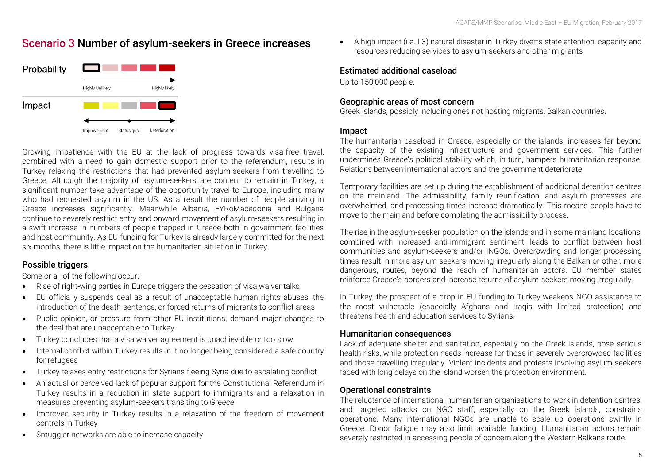## Scenario 3 Number of asylum-seekers in Greece increases



Growing impatience with the EU at the lack of progress towards visa-free travel, combined with a need to gain domestic support prior to the referendum, results in Turkey relaxing the restrictions that had prevented asylum-seekers from travelling to Greece. Although the majority of asylum-seekers are content to remain in Turkey, a significant number take advantage of the opportunity travel to Europe, including many who had requested asylum in the US. As a result the number of people arriving in Greece increases significantly. Meanwhile Albania, FYRoMacedonia and Bulgaria continue to severely restrict entry and onward movement of asylum-seekers resulting in a swift increase in numbers of people trapped in Greece both in government facilities and host community. As EU funding for Turkey is already largely committed for the next six months, there is little impact on the humanitarian situation in Turkey.

## Possible triggers

Some or all of the following occur:

- Rise of right-wing parties in Europe triggers the cessation of visa waiver talks
- EU officially suspends deal as a result of unacceptable human rights abuses, the introduction of the death-sentence, or forced returns of migrants to conflict areas
- Public opinion, or pressure from other EU institutions, demand major changes to the deal that are unacceptable to Turkey
- Turkey concludes that a visa waiver agreement is unachievable or too slow
- Internal conflict within Turkey results in it no longer being considered a safe country for refugees
- Turkey relaxes entry restrictions for Syrians fleeing Syria due to escalating conflict
- An actual or perceived lack of popular support for the Constitutional Referendum in Turkey results in a reduction in state support to immigrants and a relaxation in measures preventing asylum-seekers transiting to Greece
- Improved security in Turkey results in a relaxation of the freedom of movement controls in Turkey
- Smuggler networks are able to increase capacity

 A high impact (i.e. L3) natural disaster in Turkey diverts state attention, capacity and resources reducing services to asylum-seekers and other migrants

## Estimated additional caseload

Up to 150,000 people.

## Geographic areas of most concern

Greek islands, possibly including ones not hosting migrants, Balkan countries.

#### Impact

The humanitarian caseload in Greece, especially on the islands, increases far beyond the capacity of the existing infrastructure and government services. This further undermines Greece's political stability which, in turn, hampers humanitarian response. Relations between international actors and the government deteriorate.

Temporary facilities are set up during the establishment of additional detention centres on the mainland. The admissibility, family reunification, and asylum processes are overwhelmed, and processing times increase dramatically. This means people have to move to the mainland before completing the admissibility process.

The rise in the asylum-seeker population on the islands and in some mainland locations, combined with increased anti-immigrant sentiment, leads to conflict between host communities and asylum-seekers and/or INGOs. Overcrowding and longer processing times result in more asylum-seekers moving irregularly along the Balkan or other, more dangerous, routes, beyond the reach of humanitarian actors. EU member states reinforce Greece's borders and increase returns of asylum-seekers moving irregularly.

In Turkey, the prospect of a drop in EU funding to Turkey weakens NGO assistance to the most vulnerable (especially Afghans and Iraqis with limited protection) and threatens health and education services to Syrians.

## Humanitarian consequences

Lack of adequate shelter and sanitation, especially on the Greek islands, pose serious health risks, while protection needs increase for those in severely overcrowded facilities and those travelling irregularly. Violent incidents and protests involving asylum seekers faced with long delays on the island worsen the protection environment.

## Operational constraints

The reluctance of international humanitarian organisations to work in detention centres, and targeted attacks on NGO staff, especially on the Greek islands, constrains operations. Many international NGOs are unable to scale up operations swiftly in Greece. Donor fatigue may also limit available funding. Humanitarian actors remain severely restricted in accessing people of concern along the Western Balkans route.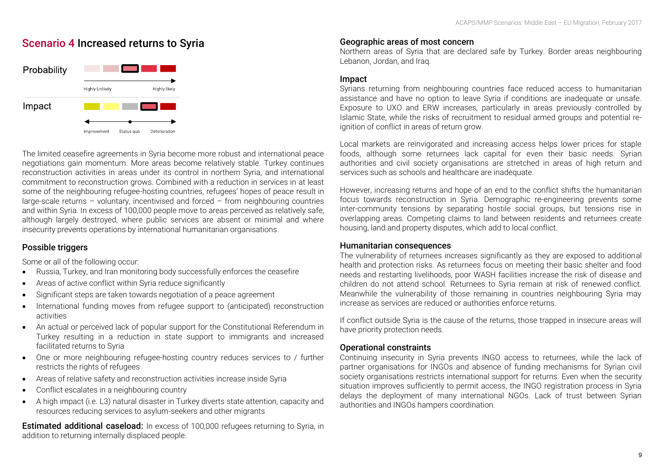## Scenario 4 Increased returns to Syria



The limited ceasefire agreements in Syria become more robust and international peace negotiations gain momentum. More areas become relatively stable. Turkey continues reconstruction activities in areas under its control in northern Syria, and international commitment to reconstruction grows. Combined with a reduction in services in at least some of the neighbouring refugee-hosting countries, refugees' hopes of peace result in large-scale returns – voluntary, incentivised and forced – from neighbouring countries and within Syria. In excess of 100,000 people move to areas perceived as relatively safe, although largely destroyed, where public services are absent or minimal and where insecurity prevents operations by international humanitarian organisations.

## Possible triggers

Some or all of the following occur:

- Russia, Turkey, and Iran monitoring body successfully enforces the ceasefire
- Areas of active conflict within Syria reduce significantly
- Significant steps are taken towards negotiation of a peace agreement
- International funding moves from refugee support to (anticipated) reconstruction activities
- An actual or perceived lack of popular support for the Constitutional Referendum in Turkey resulting in a reduction in state support to immigrants and increased facilitated returns to Syria
- One or more neighbouring refugee-hosting country reduces services to / further restricts the rights of refugees
- Areas of relative safety and reconstruction activities increase inside Syria
- Conflict escalates in a neighbouring country
- A high impact (i.e. L3) natural disaster in Turkey diverts state attention, capacity and resources reducing services to asylum-seekers and other migrants

**Estimated additional caseload:** In excess of 100,000 refugees returning to Syria, in addition to returning internally displaced people.

## Geographic areas of most concern

Northern areas of Syria that are declared safe by Turkey. Border areas neighbouring Lebanon, Jordan, and Iraq.

#### Impact

Syrians returning from neighbouring countries face reduced access to humanitarian assistance and have no option to leave Syria if conditions are inadequate or unsafe. Exposure to UXO and ERW increases, particularly in areas previously controlled by Islamic State, while the risks of recruitment to residual armed groups and potential reignition of conflict in areas of return grow.

Local markets are reinvigorated and increasing access helps lower prices for staple foods, although some returnees lack capital for even their basic needs. Syrian authorities and civil society organisations are stretched in areas of high return and services such as schools and healthcare are inadequate.

However, increasing returns and hope of an end to the conflict shifts the humanitarian focus towards reconstruction in Syria. Demographic re-engineering prevents some inter-community tensions by separating hostile social groups, but tensions rise in overlapping areas. Competing claims to land between residents and returnees create housing, land and property disputes, which add to local conflict.

#### Humanitarian consequences

The vulnerability of returnees increases significantly as they are exposed to additional health and protection risks. As returnees focus on meeting their basic shelter and food needs and restarting livelihoods, poor WASH facilities increase the risk of disease and children do not attend school. Returnees to Syria remain at risk of renewed conflict. Meanwhile the vulnerability of those remaining in countries neighbouring Syria may increase as services are reduced or authorities enforce returns.

If conflict outside Syria is the cause of the returns, those trapped in insecure areas will have priority protection needs.

## Operational constraints

Continuing insecurity in Syria prevents INGO access to returnees, while the lack of partner organisations for INGOs and absence of funding mechanisms for Syrian civil society organisations restricts international support for returns. Even when the security situation improves sufficiently to permit access, the INGO registration process in Syria delays the deployment of many international NGOs. Lack of trust between Syrian authorities and INGOs hampers coordination.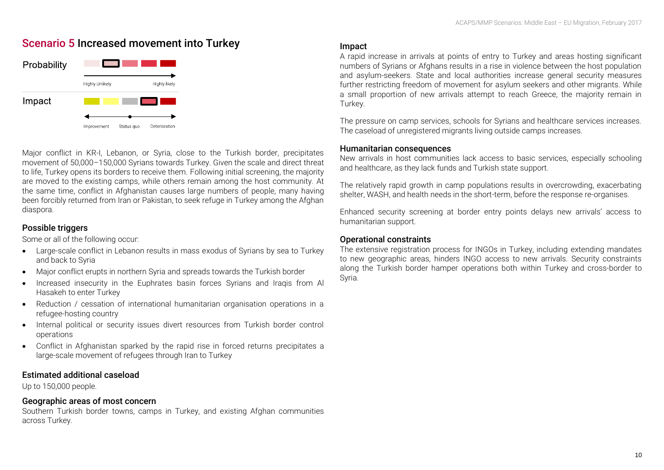## Scenario 5 Increased movement into Turkey



Major conflict in KR-I, Lebanon, or Syria, close to the Turkish border, precipitates movement of 50,000–150,000 Syrians towards Turkey. Given the scale and direct threat to life, Turkey opens its borders to receive them. Following initial screening, the majority are moved to the existing camps, while others remain among the host community. At the same time, conflict in Afghanistan causes large numbers of people, many having been forcibly returned from Iran or Pakistan, to seek refuge in Turkey among the Afghan diaspora.

## Possible triggers

Some or all of the following occur:

- Large-scale conflict in Lebanon results in mass exodus of Syrians by sea to Turkey and back to Syria
- Major conflict erupts in northern Syria and spreads towards the Turkish border
- Increased insecurity in the Euphrates basin forces Syrians and Iraqis from Al Hasakeh to enter Turkey
- Reduction / cessation of international humanitarian organisation operations in a refugee-hosting country
- Internal political or security issues divert resources from Turkish border control operations
- Conflict in Afghanistan sparked by the rapid rise in forced returns precipitates a large-scale movement of refugees through Iran to Turkey

## Estimated additional caseload

Up to 150,000 people.

## Geographic areas of most concern

Southern Turkish border towns, camps in Turkey, and existing Afghan communities across Turkey.

## Impact

A rapid increase in arrivals at points of entry to Turkey and areas hosting significant numbers of Syrians or Afghans results in a rise in violence between the host population and asylum-seekers. State and local authorities increase general security measures further restricting freedom of movement for asylum seekers and other migrants. While a small proportion of new arrivals attempt to reach Greece, the majority remain in Turkey.

The pressure on camp services, schools for Syrians and healthcare services increases. The caseload of unregistered migrants living outside camps increases.

#### Humanitarian consequences

New arrivals in host communities lack access to basic services, especially schooling and healthcare, as they lack funds and Turkish state support.

The relatively rapid growth in camp populations results in overcrowding, exacerbating shelter, WASH, and health needs in the short-term, before the response re-organises.

Enhanced security screening at border entry points delays new arrivals' access to humanitarian support.

## Operational constraints

The extensive registration process for INGOs in Turkey, including extending mandates to new geographic areas, hinders INGO access to new arrivals. Security constraints along the Turkish border hamper operations both within Turkey and cross-border to Syria.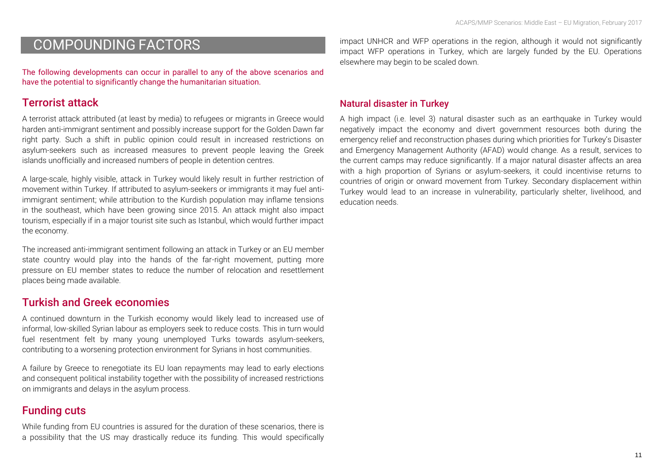# COMPOUNDING FACTORS

The following developments can occur in parallel to any of the above scenarios and have the potential to significantly change the humanitarian situation.

## Terrorist attack

A terrorist attack attributed (at least by media) to refugees or migrants in Greece would harden anti-immigrant sentiment and possibly increase support for the Golden Dawn far right party. Such a shift in public opinion could result in increased restrictions on asylum-seekers such as increased measures to prevent people leaving the Greek islands unofficially and increased numbers of people in detention centres.

A large-scale, highly visible, attack in Turkey would likely result in further restriction of movement within Turkey. If attributed to asylum-seekers or immigrants it may fuel antiimmigrant sentiment; while attribution to the Kurdish population may inflame tensions in the southeast, which have been growing since 2015. An attack might also impact tourism, especially if in a major tourist site such as Istanbul, which would further impact the economy.

The increased anti-immigrant sentiment following an attack in Turkey or an EU member state country would play into the hands of the far-right movement, putting more pressure on EU member states to reduce the number of relocation and resettlement places being made available.

## Turkish and Greek economies

A continued downturn in the Turkish economy would likely lead to increased use of informal, low-skilled Syrian labour as employers seek to reduce costs. This in turn would fuel resentment felt by many young unemployed Turks towards asylum-seekers, contributing to a worsening protection environment for Syrians in host communities.

A failure by Greece to renegotiate its EU loan repayments may lead to early elections and consequent political instability together with the possibility of increased restrictions on immigrants and delays in the asylum process.

## Funding cuts

While funding from EU countries is assured for the duration of these scenarios, there is a possibility that the US may drastically reduce its funding. This would specifically

impact UNHCR and WFP operations in the region, although it would not significantly impact WFP operations in Turkey, which are largely funded by the EU. Operations elsewhere may begin to be scaled down.

## Natural disaster in Turkey

A high impact (i.e. level 3) natural disaster such as an earthquake in Turkey would negatively impact the economy and divert government resources both during the emergency relief and reconstruction phases during which priorities for Turkey's Disaster and Emergency Management Authority (AFAD) would change. As a result, services to the current camps may reduce significantly. If a major natural disaster affects an area with a high proportion of Syrians or asylum-seekers, it could incentivise returns to countries of origin or onward movement from Turkey. Secondary displacement within Turkey would lead to an increase in vulnerability, particularly shelter, livelihood, and education needs.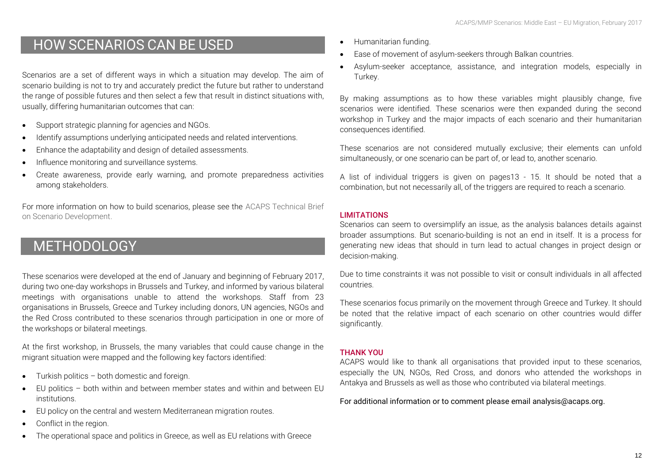# HOW SCENARIOS CAN BE USED

Scenarios are a set of different ways in which a situation may develop. The aim of scenario building is not to try and accurately predict the future but rather to understand the range of possible futures and then select a few that result in distinct situations with, usually, differing humanitarian outcomes that can:

- Support strategic planning for agencies and NGOs.
- Identify assumptions underlying anticipated needs and related interventions.
- Enhance the adaptability and design of detailed assessments.
- Influence monitoring and surveillance systems.
- Create awareness, provide early warning, and promote preparedness activities among stakeholders.

For more information on how to build scenarios, please see the [ACAPS Technical Brief](https://www.acaps.org/sites/acaps/files/resources/files/acaps_technical_brief_scenario_building_august_2016.pdf)  [on Scenario Development.](https://www.acaps.org/sites/acaps/files/resources/files/acaps_technical_brief_scenario_building_august_2016.pdf)

# METHODOLOGY

These scenarios were developed at the end of January and beginning of February 2017, during two one-day workshops in Brussels and Turkey, and informed by various bilateral meetings with organisations unable to attend the workshops. Staff from 23 organisations in Brussels, Greece and Turkey including donors, UN agencies, NGOs and the Red Cross contributed to these scenarios through participation in one or more of the workshops or bilateral meetings.

At the first workshop, in Brussels, the many variables that could cause change in the migrant situation were mapped and the following key factors identified:

- Turkish politics both domestic and foreign.
- EU politics both within and between member states and within and between EU institutions.
- EU policy on the central and western Mediterranean migration routes.
- Conflict in the region.
- The operational space and politics in Greece, as well as EU relations with Greece
- Humanitarian funding.
- Ease of movement of asylum-seekers through Balkan countries.
- Asylum-seeker acceptance, assistance, and integration models, especially in Turkey.

By making assumptions as to how these variables might plausibly change, five scenarios were identified. These scenarios were then expanded during the second workshop in Turkey and the major impacts of each scenario and their humanitarian consequences identified.

These scenarios are not considered mutually exclusive; their elements can unfold simultaneously, or one scenario can be part of, or lead to, another scenario.

A list of individual triggers is given on pages13 - 15. It should be noted that a combination, but not necessarily all, of the triggers are required to reach a scenario.

## **LIMITATIONS**

Scenarios can seem to oversimplify an issue, as the analysis balances details against broader assumptions. But scenario-building is not an end in itself. It is a process for generating new ideas that should in turn lead to actual changes in project design or decision-making.

Due to time constraints it was not possible to visit or consult individuals in all affected countries.

These scenarios focus primarily on the movement through Greece and Turkey. It should be noted that the relative impact of each scenario on other countries would differ significantly.

## THANK YOU

ACAPS would like to thank all organisations that provided input to these scenarios, especially the UN, NGOs, Red Cross, and donors who attended the workshops in Antakya and Brussels as well as those who contributed via bilateral meetings.

For additional information or to comment please email analysis@acaps.org.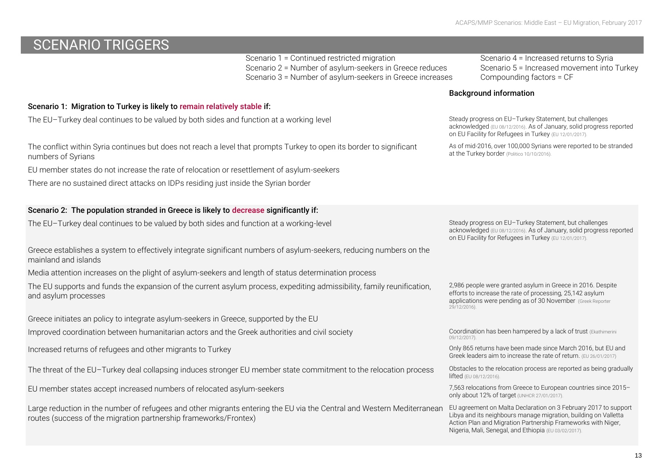# SCENARIO TRIGGERS

Scenario 1 = Continued restricted migration Scenario 4 = Increased returns to Syria<br>Scenario 2 = Number of asylum-seekers in Greece reduces Scenario 5 = Increased movement into Turkey Scenario 2 = Number of asylum-seekers in Greece reduces Scenario 5 = Increased movement into Scenario 3 = Number of asylum-seekers in Greece increases Compounding factors = CF Scenario 3 = Number of asylum-seekers in Greece increases

Scenario 1: Migration to Turkey is likely to remain relatively stable if:

The EU–Turkey deal continues to be valued by both sides and function at a working level Steady Steady progress on EU–Turkey Statement, but challenges

The conflict within Syria continues but does not reach a level that prompts Turkey to open its border to significant numbers of Syrians

EU member states do not increase the rate of relocation or resettlement of asylum-seekers

There are no sustained direct attacks on IDPs residing just inside the Syrian border

## Scenario 2: The population stranded in Greece is likely to decrease significantly if:

The EU–Turkey deal continues to be valued by both sides and function at a working-level Steady Steady progress on EU–Turkey Statement, but challenges

Greece establishes a system to effectively integrate significant numbers of asylum-seekers, reducing numbers on the mainland and islands

Media attention increases on the plight of asylum-seekers and length of status determination process

The EU supports and funds the expansion of the current asylum process, expediting admissibility, family reunification, and asylum processes

Greece initiates an policy to integrate asylum-seekers in Greece, supported by the EU

Improved coordination between humanitarian actors and the Greek authorities and civil society Coordination has been hampered by a lack of trust (Ekathimerini

Increased returns of refugees and other migrants to Turkey Only 865 returns have been made since March 2016, but EU and

The threat of the EU–Turkey deal collapsing induces stronger EU member state commitment to the relocation process <sup>Obstacles</sup> to the relocation process are reported as being gradually

EU member states accept increased numbers of relocated asylum-seekers 7,563 relocations from Greece to European countries since 2015–

Large reduction in the number of refugees and other migrants entering the EU via the Central and Western Mediterranean routes (success of the migration partnership frameworks/Frontex)

## Background information

acknowledged [\(EU 08/12/2016\)](https://ec.europa.eu/home-affairs/sites/homeaffairs/files/what-we-do/policies/european-agenda-migration/proposal-implementation-package/docs/20161208/4th_report_on_the_progress_made_in_the_implementation_of_the_eu-turkey_statement_en.pdf). As of January, solid progress reported on EU Facility for Refugees in Turkey [\(EU 12/01/2017\).](http://europa.eu/rapid/press-release_IP-17-41_en.htm)

As of mid-2016, over 100,000 Syrians were reported to be stranded at the Turkey border [\(Politico 10/10/2016\).](http://www.politico.eu/article/turkeys-new-border-wall-will-stop-syrian-refugees-immigration-instanbul/)

acknowledged [\(EU 08/12/2016\)](https://ec.europa.eu/home-affairs/sites/homeaffairs/files/what-we-do/policies/european-agenda-migration/proposal-implementation-package/docs/20161208/4th_report_on_the_progress_made_in_the_implementation_of_the_eu-turkey_statement_en.pdf). As of January, solid progress reported on EU Facility for Refugees in Turkey [\(EU 12/01/2017\).](http://europa.eu/rapid/press-release_IP-17-41_en.htm)

2,986 people were granted asylum in Greece in 2016. Despite efforts to increase the rate of processing, 25,142 asylum applications were pending as of 30 November [\(Greek Reporter](http://greece.greekreporter.com/2016/12/29/asylum-applications-skyrocket-in-greece/) [29/12/2016\).](http://greece.greekreporter.com/2016/12/29/asylum-applications-skyrocket-in-greece/)

[09/12/2017\).](http://www.ekathimerini.com/214403/opinion/ekathimerini/comment/refugee-response-in-greece-a-flawed-system)

Greek leaders aim to increase the rate of return. [\(EU 26/01/2017\)](https://ec.europa.eu/home-affairs/sites/homeaffairs/files/what-we-do/policies/european-agenda-migration/press-material/docs/state_of_play_-_eu-turkey_en.pdf)

lifted [\(EU 08/12/2016\).](https://ec.europa.eu/home-affairs/sites/homeaffairs/files/what-we-do/policies/european-agenda-migration/proposal-implementation-package/docs/20161208/eighth_report_on_relocation_and_resettlement_en.pdf)

only about 12% of target [\(UNHCR 27/01/2017\).](http://data.unhcr.org/mediterranean/download.php?id=2385)

EU agreement on Malta Declaration on 3 February 2017 to support Libya and its neighbours manage migration, building on Valletta Action Plan and Migration Partnership Frameworks with Niger, Nigeria, Mali, Senegal, and Ethiopia [\(EU 03/02/2017\).](http://www.consilium.europa.eu/en/press/press-releases/2017/02/03-malta-declaration/)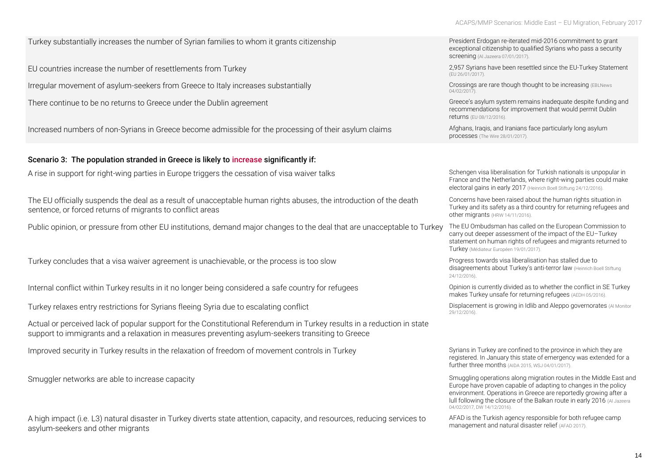Turkey substantially increases the number of Syrian families to whom it grants citizenship President Erdogan re-iterated mid-2016 commitment to grant

EU countries increase the number of resettlements from Turkey 2,957 Syrians have been resettled since the EU-Turkey Statement

Irregular movement of asylum-seekers from Greece to Italy increases substantially Crossings are rare though thought to be increasing (EBLNews)

There continue to be no returns to Greece under the Dublin agreement Greece's asylum system remains inadequate despite funding and

Increased numbers of non-Syrians in Greece become admissible for the processing of their asylum claims Afghans, Iraqis, and Iranians face particularly long asylum

#### Scenario 3: The population stranded in Greece is likely to increase significantly if:

A rise in support for right-wing parties in Europe triggers the cessation of visa waiver talks Schengen visa liberalisation for Turkish nationals is unpopular in

The EU officially suspends the deal as a result of unacceptable human rights abuses, the introduction of the death sentence, or forced returns of migrants to conflict areas

Public opinion, or pressure from other EU institutions, demand major changes to the deal that are unacceptable to Turkey The EU Ombudsman has called on the European Commission to

Turkey concludes that a visa waiver agreement is unachievable, or the process is too slow Progress towards visa liberalisation has stalled due to

Internal conflict within Turkey results in it no longer being considered a safe country for refugees Opinion is currently divided as to whether the conflict in SE Turkey

Turkey relaxes entry restrictions for Syrians fleeing Syria due to escalating conflict Displacement is growing in Idlib and Aleppo governorates (Al Monitor

Actual or perceived lack of popular support for the Constitutional Referendum in Turkey results in a reduction in state support to immigrants and a relaxation in measures preventing asylum-seekers transiting to Greece

Improved security in Turkey results in the relaxation of freedom of movement controls in Turkey Syrians in Turkey are confined to the province in which they are

A high impact (i.e. L3) natural disaster in Turkey diverts state attention, capacity, and resources, reducing services to asylum-seekers and other migrants

exceptional citizenship to qualified Syrians who pass a security screening [\(Al Jazeera 07/01/2017\).](http://www.aljazeera.com/news/2017/01/erdogan-offers-citizenship-syrian-iraqi-refugees-170106195134961.html) [\(EU 26/01/2017\).](https://ec.europa.eu/home-affairs/sites/homeaffairs/files/what-we-do/policies/european-agenda-migration/press-material/docs/state_of_play_-_eu-turkey_en.pdf) [04/02/2017\).](https://eblnews.com/news/balkan/no-major-migrations-along-adriatic-route-slovenian-fm-says-54860) recommendations for improvement that would permit Dublin returns [\(EU 08/12/2016\).](https://ec.europa.eu/home-affairs/sites/homeaffairs/files/what-we-do/policies/european-agenda-migration/proposal-implementation-package/docs/20161208/recommendation_on_the_resumption_of_transfers_to_greece_en.pdf)

processes [\(The Wire 28/01/2017\).](https://thewire.in/103142/greek-asylum-crisis/)

France and the Netherlands, where right-wing parties could make electoral gains in early 2017 [\(Heinrich Boell Stiftung 24/12/2016\).](https://eu.boell.org/en/2016/12/24/moving-closer-reset-turkey-and-eu-2017)

Concerns have been raised about the human rights situation in Turkey and its safety as a third country for returning refugees and other migrants [\(HRW 14/11/2016\).](https://www.hrw.org/news/2016/11/14/qa-why-eu-turkey-migration-deal-no-blueprint)

carry out deeper assessment of the impact of the EU–Turkey statement on human rights of refugees and migrants returned to Turkey [\(Médiateur Européen 19/01/2017\).](https://www.ombudsman.europa.eu/press/release.faces/en/75136/html.bookmark)

disagreements about Turkey's anti-terror law [\(Heinrich Boell Stiftung](https://eu.boell.org/en/2016/12/24/moving-closer-reset-turkey-and-eu-2017)  [24/12/2016\)](https://eu.boell.org/en/2016/12/24/moving-closer-reset-turkey-and-eu-2017).

makes Turkey unsafe for returning refugees [\(AEDH 05/2016\).](http://www.aedh.eu/plugins/fckeditor/userfiles/file/Factsheet-Safe-Country-Turkey-EN.pdf)

[29/12/2016\).](http://www.al-monitor.com/pulse/originals/2017/01/syria-aleppo-displaced-idlib-lack-opportunities.html)

registered. In January this state of emergency was extended for a further three months [\(AIDA 2015,](http://www.asylumineurope.org/reports/country/turkey/shelter-and-freedom-movement) [WSJ 04/01/2017\).](https://www.crisisgroup.org/europe-central-asia/western-europemediterranean/turkey/turkey-s-refugee-crisis-politics-permanence)

Smuggler networks are able to increase capacity Smuggling operations along migration routes in the Middle East and Europe have proven capable of adapting to changes in the policy environment. Operations in Greece are reportedly growing after a lull following the closure of the Balkan route in early 2016 (Al Jazeera [04/02/2017,](http://www.aljazeera.com/indepth/features/2017/01/world-human-smuggling-170123122824101.html) [DW 14/12/2016\).](http://www.dw.com/en/brisk-business-for-smugglers-in-greece/a-36762640)

> AFAD is the Turkish agency responsible for both refugee camp management and natural disaster relief [\(AFAD 2017\).](https://www.afad.gov.tr/en/4298/Homepage)